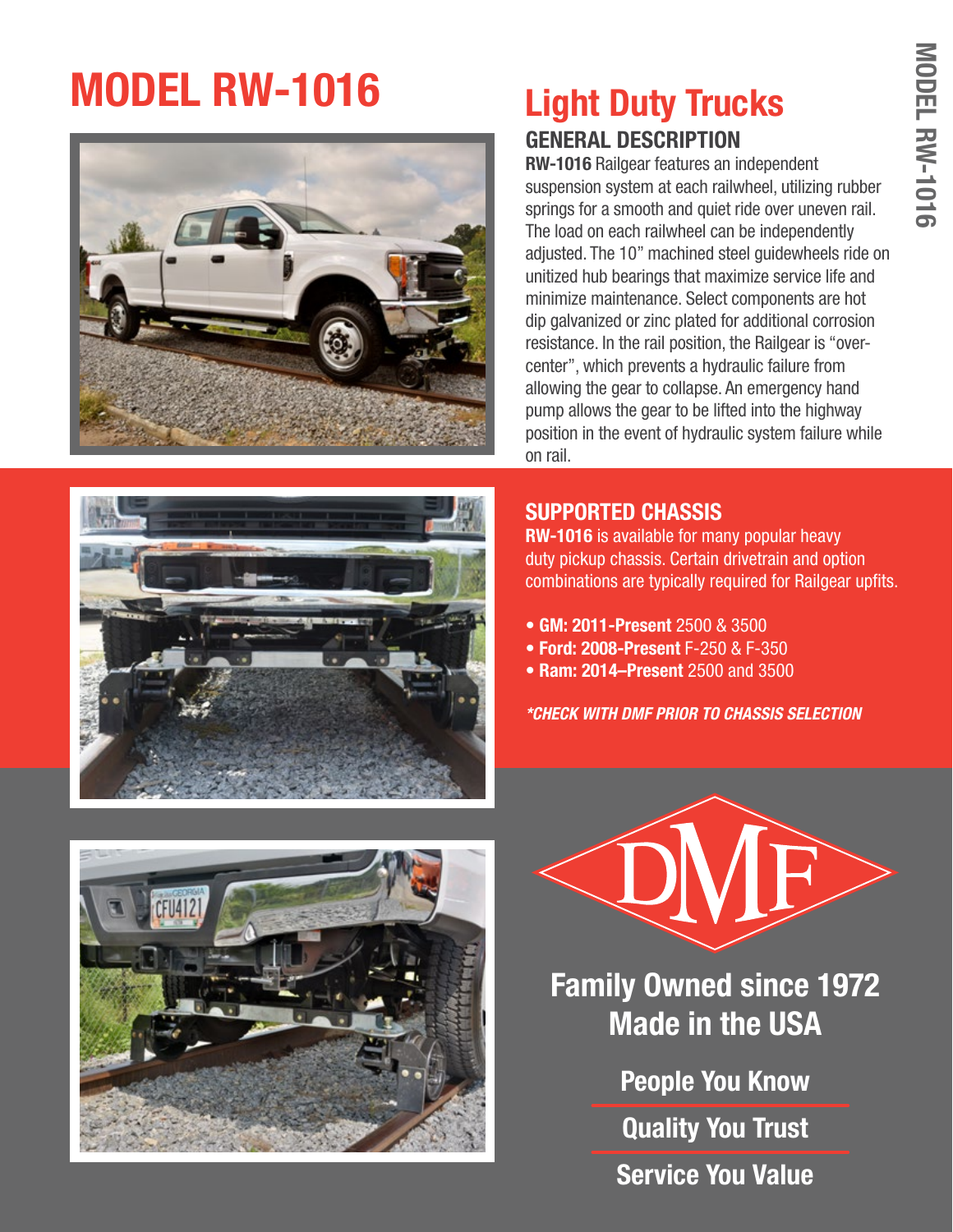# **MODEL RW-1016**





### **GENERAL DESCRIPTION Light Duty Trucks**

**RW-1016** Railgear features an independent suspension system at each railwheel, utilizing rubber springs for a smooth and quiet ride over uneven rail. The load on each railwheel can be independently adjusted. The 10" machined steel guidewheels ride on unitized hub bearings that maximize service life and minimize maintenance. Select components are hot dip galvanized or zinc plated for additional corrosion resistance. In the rail position, the Railgear is "overcenter", which prevents a hydraulic failure from allowing the gear to collapse. An emergency hand pump allows the gear to be lifted into the highway position in the event of hydraulic system failure while on rail.

#### **SUPPORTED CHASSIS**

**RW-1016** is available for many popular heavy duty pickup chassis. Certain drivetrain and option combinations are typically required for Railgear upfits.

- **GM: 2011-Present** 2500 & 3500
- **Ford: 2008-Present** F-250 & F-350
- **Ram: 2014–Present** 2500 and 3500

*\*CHECK WITH DMF PRIOR TO CHASSIS SELECTION*





**Family Owned since 1972 Made in the USA**

> **People You Know Quality You Trust Service You Value**